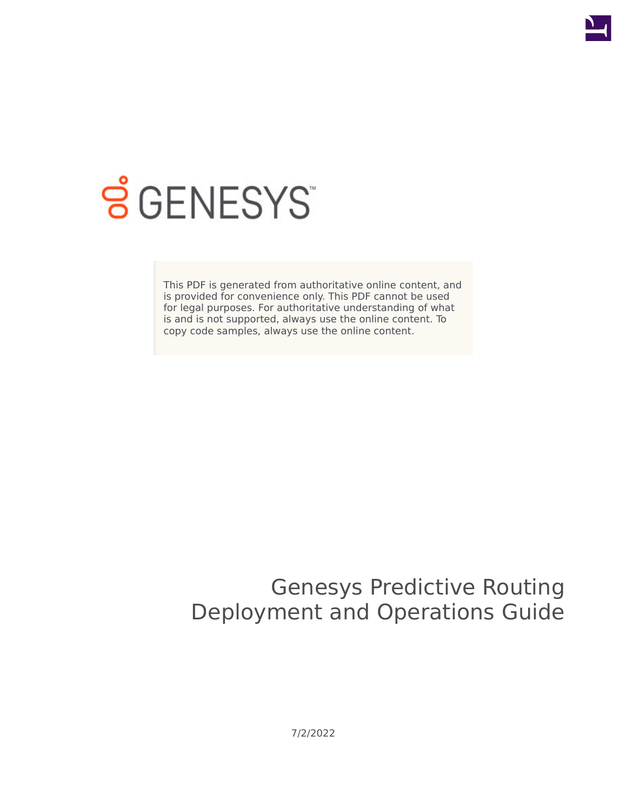

# **S** GENESYS

This PDF is generated from authoritative online content, and is provided for convenience only. This PDF cannot be used for legal purposes. For authoritative understanding of what is and is not supported, always use the online content. To copy code samples, always use the online content.

# Genesys Predictive Routing Deployment and Operations Guide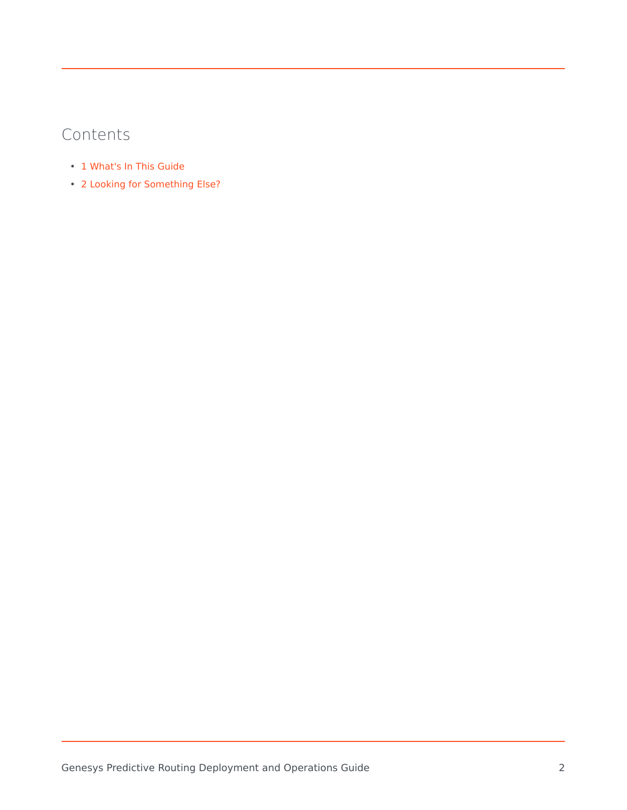## Contents

- 1 [What's In This Guide](#page-2-0)
- 2 [Looking for Something Else?](#page-2-1)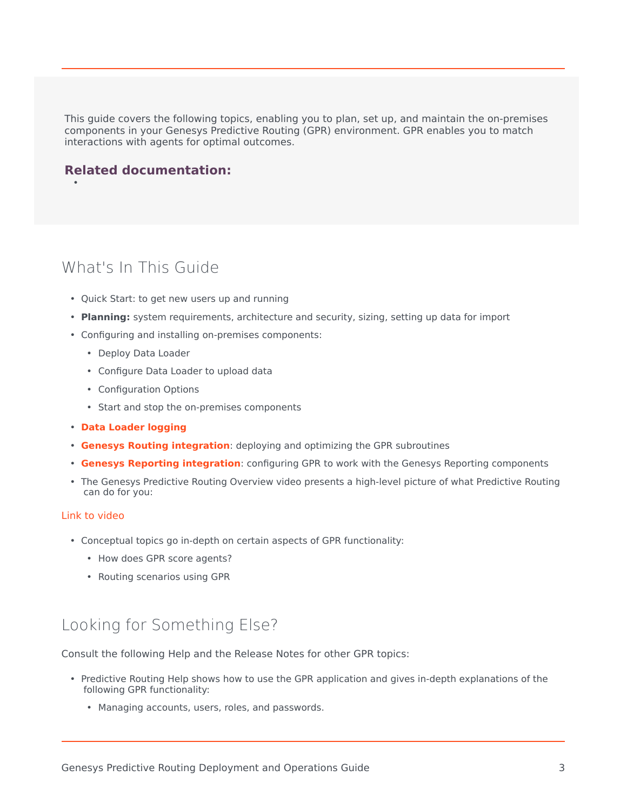This guide covers the following topics, enabling you to plan, set up, and maintain the on-premises components in your Genesys Predictive Routing (GPR) environment. GPR enables you to match interactions with agents for optimal outcomes.

#### **Related documentation:**

•

#### <span id="page-2-0"></span>What's In This Guide

- Quick Start: to get new users up and running
- **Planning:** system requirements, architecture and security, sizing, setting up data for import
- Configuring and installing on-premises components:
	- Deploy Data Loader
	- Configure Data Loader to upload data
	- Configuration Options
	- Start and stop the on-premises components
- **[Data Loader logging](/PE-GPR/9.0.0/Deployment/ASCops#top)**
- **[Genesys Routing integration](/PE-GPR/9.0.0/Deployment/cfgSubroutines#top)**: deploying and optimizing the GPR subroutines
- **[Genesys Reporting integration](/PE-GPR/9.0.0/Deployment/GIMintegration#top)**: configuring GPR to work with the Genesys Reporting components
- The Genesys Predictive Routing Overview video presents a high-level picture of what Predictive Routing can do for you:

#### [Link to video](https://player.vimeo.com/video/312195823?title=0&byline=0&portrait=0)

- Conceptual topics go in-depth on certain aspects of GPR functionality:
	- How does GPR score agents?
	- Routing scenarios using GPR

## <span id="page-2-1"></span>Looking for Something Else?

Consult the following Help and the Release Notes for other GPR topics:

- Predictive Routing Help shows how to use the GPR application and gives in-depth explanations of the following GPR functionality:
	- Managing accounts, users, roles, and passwords.